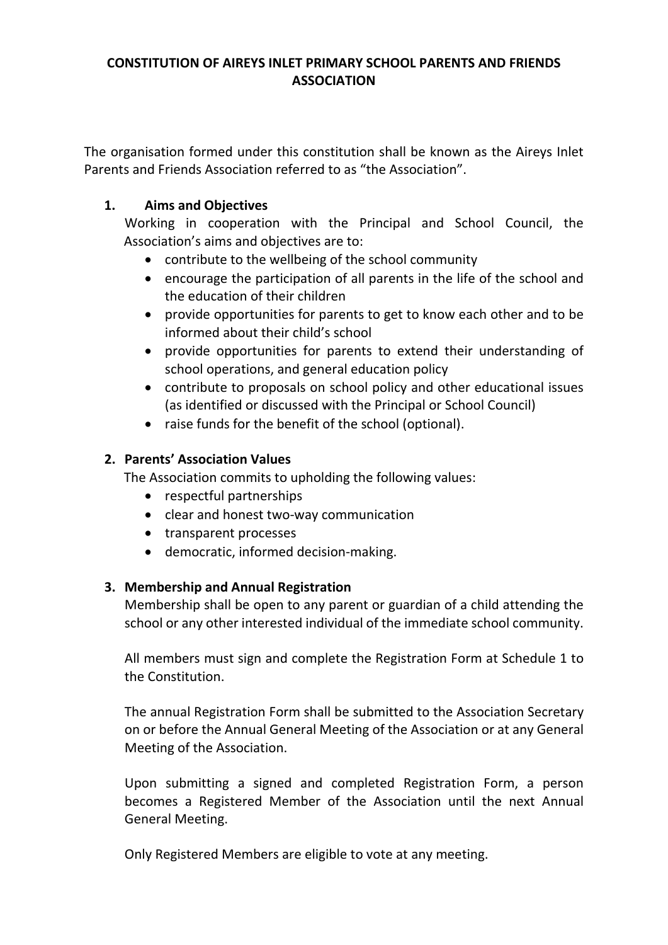# **CONSTITUTION OF AIREYS INLET PRIMARY SCHOOL PARENTS AND FRIENDS ASSOCIATION**

The organisation formed under this constitution shall be known as the Aireys Inlet Parents and Friends Association referred to as "the Association".

# **1. Aims and Objectives**

Working in cooperation with the Principal and School Council, the Association's aims and objectives are to:

- contribute to the wellbeing of the school community
- encourage the participation of all parents in the life of the school and the education of their children
- provide opportunities for parents to get to know each other and to be informed about their child's school
- provide opportunities for parents to extend their understanding of school operations, and general education policy
- contribute to proposals on school policy and other educational issues (as identified or discussed with the Principal or School Council)
- raise funds for the benefit of the school (optional).

# **2. Parents' Association Values**

The Association commits to upholding the following values:

- respectful partnerships
- clear and honest two-way communication
- transparent processes
- democratic, informed decision-making.

## **3. Membership and Annual Registration**

Membership shall be open to any parent or guardian of a child attending the school or any other interested individual of the immediate school community.

All members must sign and complete the Registration Form at Schedule 1 to the Constitution.

The annual Registration Form shall be submitted to the Association Secretary on or before the Annual General Meeting of the Association or at any General Meeting of the Association.

Upon submitting a signed and completed Registration Form, a person becomes a Registered Member of the Association until the next Annual General Meeting.

Only Registered Members are eligible to vote at any meeting.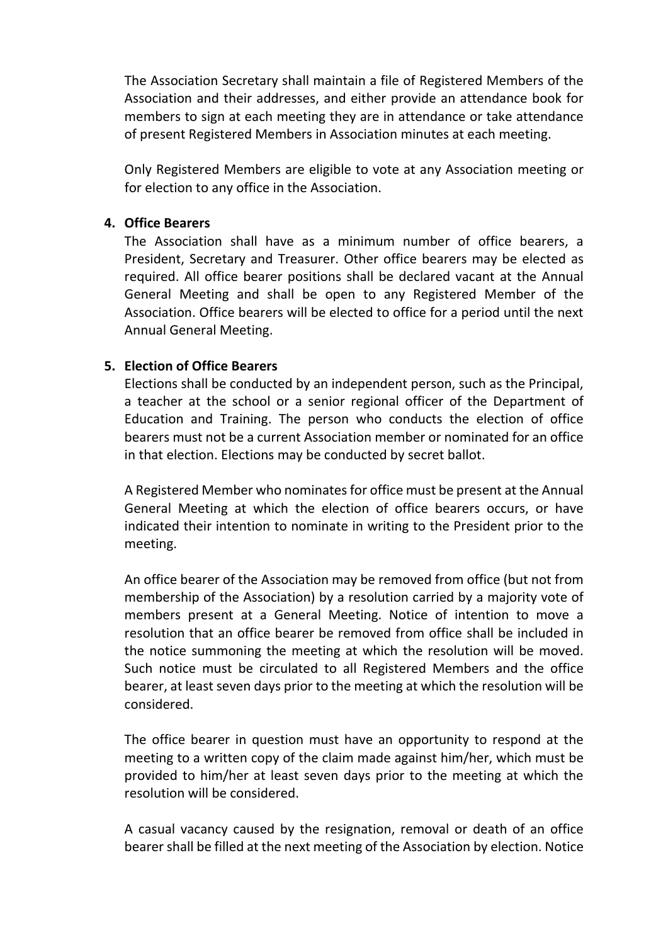The Association Secretary shall maintain a file of Registered Members of the Association and their addresses, and either provide an attendance book for members to sign at each meeting they are in attendance or take attendance of present Registered Members in Association minutes at each meeting.

Only Registered Members are eligible to vote at any Association meeting or for election to any office in the Association.

#### **4. Office Bearers**

The Association shall have as a minimum number of office bearers, a President, Secretary and Treasurer. Other office bearers may be elected as required. All office bearer positions shall be declared vacant at the Annual General Meeting and shall be open to any Registered Member of the Association. Office bearers will be elected to office for a period until the next Annual General Meeting.

## **5. Election of Office Bearers**

Elections shall be conducted by an independent person, such as the Principal, a teacher at the school or a senior regional officer of the Department of Education and Training. The person who conducts the election of office bearers must not be a current Association member or nominated for an office in that election. Elections may be conducted by secret ballot.

A Registered Member who nominates for office must be present at the Annual General Meeting at which the election of office bearers occurs, or have indicated their intention to nominate in writing to the President prior to the meeting.

An office bearer of the Association may be removed from office (but not from membership of the Association) by a resolution carried by a majority vote of members present at a General Meeting. Notice of intention to move a resolution that an office bearer be removed from office shall be included in the notice summoning the meeting at which the resolution will be moved. Such notice must be circulated to all Registered Members and the office bearer, at least seven days prior to the meeting at which the resolution will be considered.

The office bearer in question must have an opportunity to respond at the meeting to a written copy of the claim made against him/her, which must be provided to him/her at least seven days prior to the meeting at which the resolution will be considered.

A casual vacancy caused by the resignation, removal or death of an office bearer shall be filled at the next meeting of the Association by election. Notice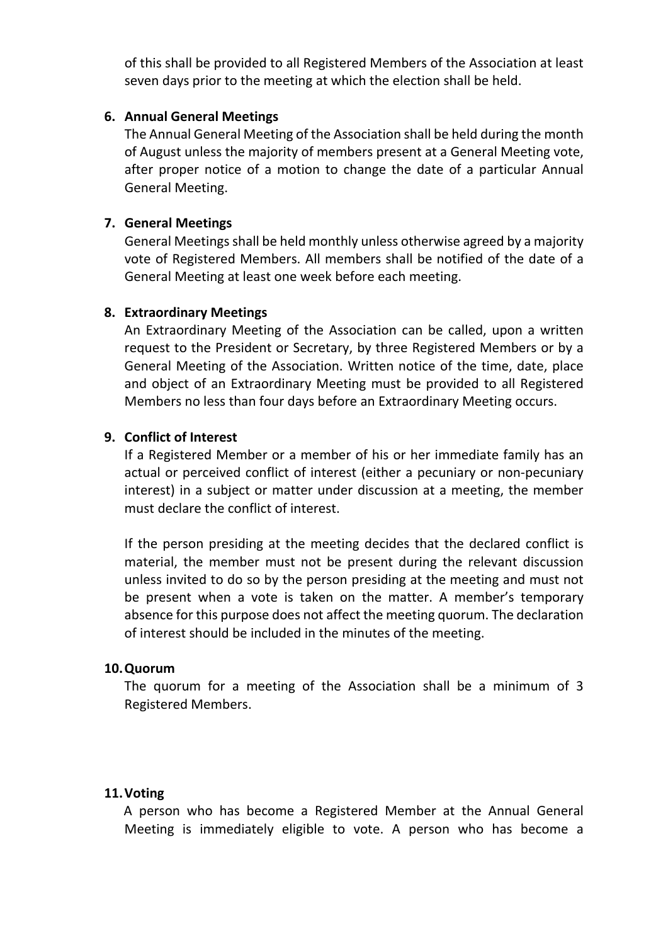of this shall be provided to all Registered Members of the Association at least seven days prior to the meeting at which the election shall be held.

## **6. Annual General Meetings**

The Annual General Meeting of the Association shall be held during the month of August unless the majority of members present at a General Meeting vote, after proper notice of a motion to change the date of a particular Annual General Meeting.

#### **7. General Meetings**

General Meetings shall be held monthly unless otherwise agreed by a majority vote of Registered Members. All members shall be notified of the date of a General Meeting at least one week before each meeting.

#### **8. Extraordinary Meetings**

An Extraordinary Meeting of the Association can be called, upon a written request to the President or Secretary, by three Registered Members or by a General Meeting of the Association. Written notice of the time, date, place and object of an Extraordinary Meeting must be provided to all Registered Members no less than four days before an Extraordinary Meeting occurs.

#### **9. Conflict of Interest**

If a Registered Member or a member of his or her immediate family has an actual or perceived conflict of interest (either a pecuniary or non-pecuniary interest) in a subject or matter under discussion at a meeting, the member must declare the conflict of interest.

If the person presiding at the meeting decides that the declared conflict is material, the member must not be present during the relevant discussion unless invited to do so by the person presiding at the meeting and must not be present when a vote is taken on the matter. A member's temporary absence for this purpose does not affect the meeting quorum. The declaration of interest should be included in the minutes of the meeting.

#### **10.Quorum**

The quorum for a meeting of the Association shall be a minimum of 3 Registered Members.

#### **11.Voting**

A person who has become a Registered Member at the Annual General Meeting is immediately eligible to vote. A person who has become a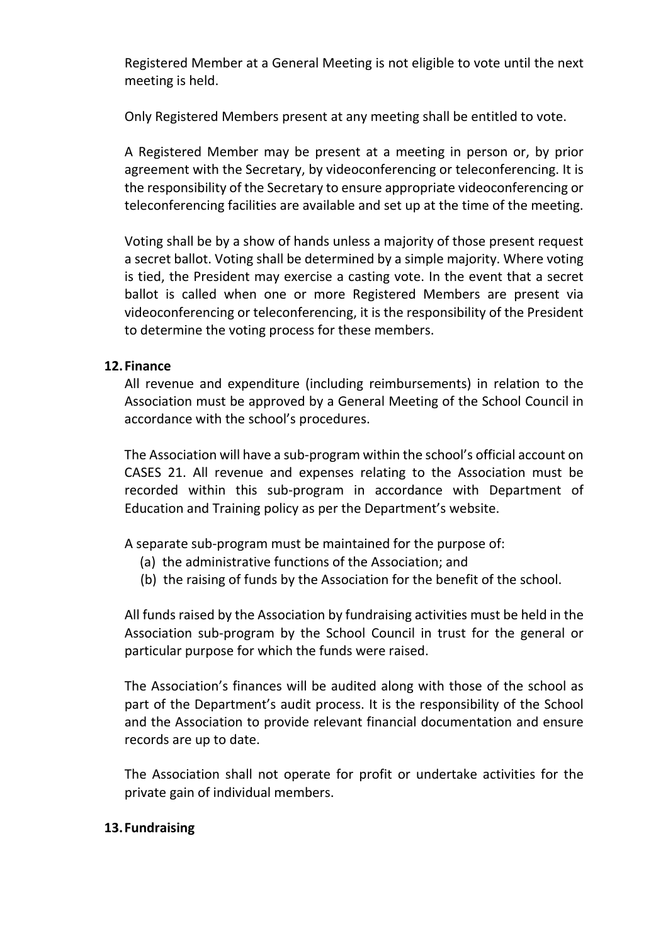Registered Member at a General Meeting is not eligible to vote until the next meeting is held.

Only Registered Members present at any meeting shall be entitled to vote.

A Registered Member may be present at a meeting in person or, by prior agreement with the Secretary, by videoconferencing or teleconferencing. It is the responsibility of the Secretary to ensure appropriate videoconferencing or teleconferencing facilities are available and set up at the time of the meeting.

Voting shall be by a show of hands unless a majority of those present request a secret ballot. Voting shall be determined by a simple majority. Where voting is tied, the President may exercise a casting vote. In the event that a secret ballot is called when one or more Registered Members are present via videoconferencing or teleconferencing, it is the responsibility of the President to determine the voting process for these members.

# **12.Finance**

All revenue and expenditure (including reimbursements) in relation to the Association must be approved by a General Meeting of the School Council in accordance with the school's procedures.

The Association will have a sub-program within the school's official account on CASES 21. All revenue and expenses relating to the Association must be recorded within this sub-program in accordance with Department of Education and Training policy as per the Department's website.

A separate sub-program must be maintained for the purpose of:

- (a) the administrative functions of the Association; and
- (b) the raising of funds by the Association for the benefit of the school.

All funds raised by the Association by fundraising activities must be held in the Association sub-program by the School Council in trust for the general or particular purpose for which the funds were raised.

The Association's finances will be audited along with those of the school as part of the Department's audit process. It is the responsibility of the School and the Association to provide relevant financial documentation and ensure records are up to date.

The Association shall not operate for profit or undertake activities for the private gain of individual members.

## **13.Fundraising**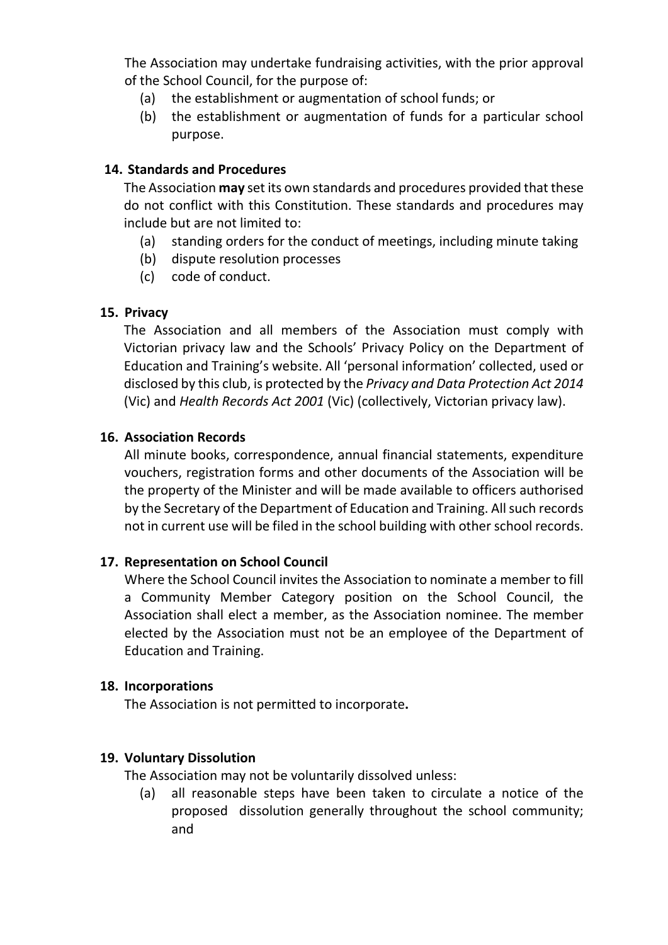The Association may undertake fundraising activities, with the prior approval of the School Council, for the purpose of:

- (a) the establishment or augmentation of school funds; or
- (b) the establishment or augmentation of funds for a particular school purpose.

## **14. Standards and Procedures**

The Association **may** set its own standards and procedures provided that these do not conflict with this Constitution. These standards and procedures may include but are not limited to:

- (a) standing orders for the conduct of meetings, including minute taking
- (b) dispute resolution processes
- (c) code of conduct.

## **15. Privacy**

The Association and all members of the Association must comply with Victorian privacy law and the [Schools' Privacy Policy](http://www.education.vic.gov.au/Pages/schoolsprivacypolicy.aspx) on the Department of Education and Training's website. All 'personal information' collected, used or disclosed by this club, is protected by the *Privacy and Data Protection Act 2014* (Vic) and *Health Records Act 2001* (Vic) (collectively, Victorian privacy law).

## **16. Association Records**

All minute books, correspondence, annual financial statements, expenditure vouchers, registration forms and other documents of the Association will be the property of the Minister and will be made available to officers authorised by the Secretary of the Department of Education and Training. All such records not in current use will be filed in the school building with other school records.

## **17. Representation on School Council**

Where the School Council invites the Association to nominate a member to fill a Community Member Category position on the School Council, the Association shall elect a member, as the Association nominee. The member elected by the Association must not be an employee of the Department of Education and Training.

## **18. Incorporations**

The Association is not permitted to incorporate**.** 

## **19. Voluntary Dissolution**

The Association may not be voluntarily dissolved unless:

(a) all reasonable steps have been taken to circulate a notice of the proposed dissolution generally throughout the school community; and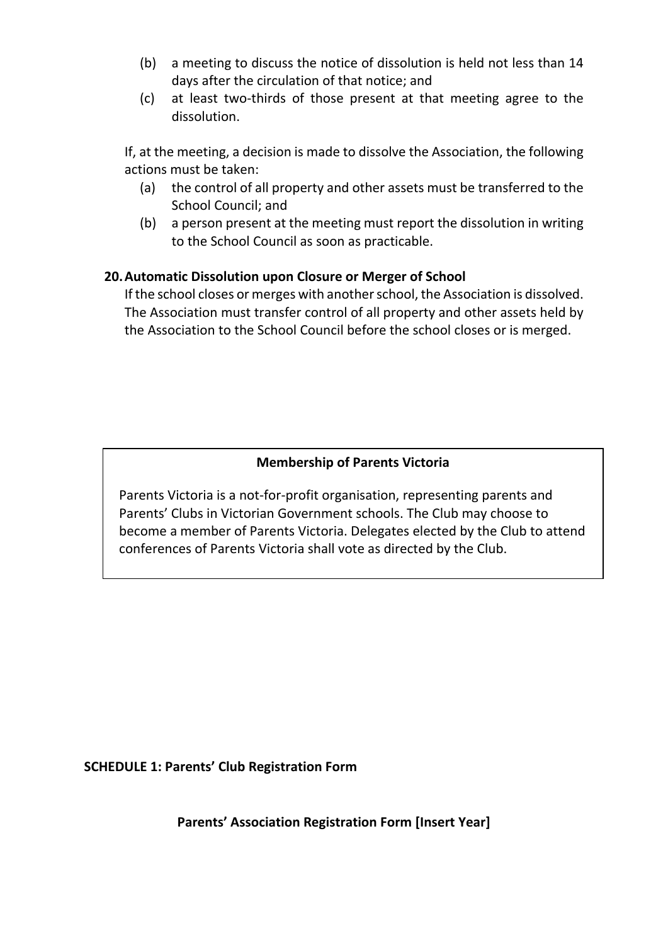- (b) a meeting to discuss the notice of dissolution is held not less than 14 days after the circulation of that notice; and
- (c) at least two-thirds of those present at that meeting agree to the dissolution.

If, at the meeting, a decision is made to dissolve the Association, the following actions must be taken:

- (a) the control of all property and other assets must be transferred to the School Council; and
- (b) a person present at the meeting must report the dissolution in writing to the School Council as soon as practicable.

# **20.Automatic Dissolution upon Closure or Merger of School**

If the school closes or merges with another school, the Association is dissolved. The Association must transfer control of all property and other assets held by the Association to the School Council before the school closes or is merged.

# **Membership of Parents Victoria**

Parents Victoria is a not-for-profit organisation, representing parents and Parents' Clubs in Victorian Government schools. The Club may choose to become a member of Parents Victoria. Delegates elected by the Club to attend conferences of Parents Victoria shall vote as directed by the Club.

#### **SCHEDULE 1: Parents' Club Registration Form**

**Parents' Association Registration Form [Insert Year]**